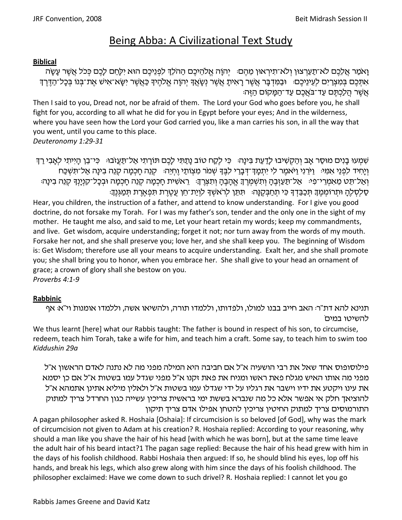# Being Abba: A Civilizational Text Study

## **Biblical**

וָאמַר אַלְבֵם לֹא־תַעַרְצוּן וְלֹא־תִירְאוּן מֵהֵם: יְהוָה אֵלהֵיכֵם הַהֹלֵךְ לִפְנֵיכֵם הוּא יִלָּחֵם לָבֵם כִּכֹל אֲשֶׁר עָשָׂה ֿאִתְּכֶם בְּמִצְרַיִם לְעֵינֵיכֶם וּבִמִּדְבָּר אֲשֶׁר רָאִיתָ אֲשֶׁר יְשָׂאֲד יְהוָה אֱלֹהֶיךָ כַּאֲשֶׁר יִשָּׂא־אִישׁ אֶת־בְּנוֹ בְּכָל־הַדֶּרֶדְ ּאֲשֶׁר הֲלַכְתֶּם עַד־בֹּאֲכֶם עַד־הַמֶּקוֹם הַזֶּהּ Then I said to you, Dread not, nor be afraid of them. The Lord your God who goes before you, he shall fight for you, according to all what he did for you in Egypt before your eyes; And in the wilderness, where you have seen how the Lord your God carried you, like a man carries his son, in all the way that you went, until you came to this place. *Deuteronomy 1:29-31*

שְׁמְעוּ בַנִים מוּסַר אַב וְהַקְשִׁיבוּ לַדַעַת בִּינַהּ: - כִּי לֵקֵח טוֹב נַתֲתִּי לַכֶּם תּוֹרֶתִי אַל־תַּעֵזֹבוּ: - כִּי־בֶן הַיִּיתִי לִאֲבִי רַדִּ וְיַחִיד לִפְנֵי אִמְיּ· וַיֹּרֵנִי וַיֹּאמֵר לִי יִתְמַךְ־דְּבָרֵי לִבֵּךְ שָׁמֹר מִצְוֹתֵי וֵחְיֵה: קָנֵה חַכְמַה קִנֵה בִינַה אַל־תִּשְׁכַּח וְאַל־תֵּט מֵאִמְרֵי־פִיּ אַל־תַּעַזְבֵהָ וְתִשְׁמְרֵךְ אֵהָבֵהָ וְתִצְרֵךְ: רֵאשִׁית חָכְמָה קָנֵה חָכְמָה וּבִכָל־קִנְיָנָךָ קָנֵה בִינָה: ּסַלְסָלֶהָ וּתִרוֹמְמֵךְ תִּכַבְּדְךָ כִּי תִחַבְּקֵנָּהּ ּ תִּתֵּן לִראשְׁךָּ לִוְיַת־חֵן עֵטֵרֶת תִּפְאֵרֶת תִּמַגְּנֵךְ Hear, you children, the instruction of a father, and attend to know understanding. For I give you good doctrine, do not forsake my Torah. For I was my father's son, tender and the only one in the sight of my mother. He taught me also, and said to me, Let your heart retain my words; keep my commandments, and live. Get wisdom, acquire understanding; forget it not; nor turn away from the words of my mouth. Forsake her not, and she shall preserve you; love her, and she shall keep you. The beginning of Wisdom is: Get Wisdom; therefore use all your means to acquire understanding. Exalt her, and she shall promote you; she shall bring you to honor, when you embrace her. She shall give to your head an ornament of grace; a crown of glory shall she bestow on you. *Proverbs 4:1-9*

#### **Rabbinic**

תנינא להא דת"ר: האב חייב בבנו למולו, ולפדותו, וללמדו תורה, ולהשיאו אשה, וללמדו אומנות וי"א: אף ֿלהשיטו במים

We thus learnt [here] what our Rabbis taught: The father is bound in respect of his son, to circumcise, redeem, teach him Torah, take a wife for him, and teach him a craft. Some say, to teach him to swim too *Kiddushin 29a*

פילוסופוס אחד שאל את רבי הושעיה א"ל אם חביבה היא המילה מפני מה לא נתנה לאדם הראשון א"ל מפני מה אותו האיש מגלח פאת ראשו ומניח את פאת זקנו א"ל מפני שגדל עמו בשטות א"ל אם כן יסמא את עינו ויקטע את ידיו וישבר את רגליו על ידי שגדלו עמו בשטות א"ל ולאלין מיליא אתינן אתמהא א"ל להוציאך חלק אי אפשר אלא כל מה שנברא בששת ימי בראשית צריכין עשייה כגון החרדל צריך למתוק התורמוסים צריך למתוק החיטין צריכין להטחן אפילו אדם צריך תיקון

A pagan philosopher asked R. Hoshaia [Oshaia]: If circumcision is so beloved [of God], why was the mark of circumcision not given to Adam at his creation? R. Hoshaia replied: According to your reasoning, why should a man like you shave the hair of his head [with which he was born], but at the same time leave the adult hair of his beard intact?1 The pagan sage replied: Because the hair of his head grew with him in the days of his foolish childhood. Rabbi Hoshaia then argued: If so, he should blind his eyes, lop off his hands, and break his legs, which also grew along with him since the days of his foolish childhood. The philosopher exclaimed: Have we come down to such drivel? R. Hoshaia replied: I cannot let you go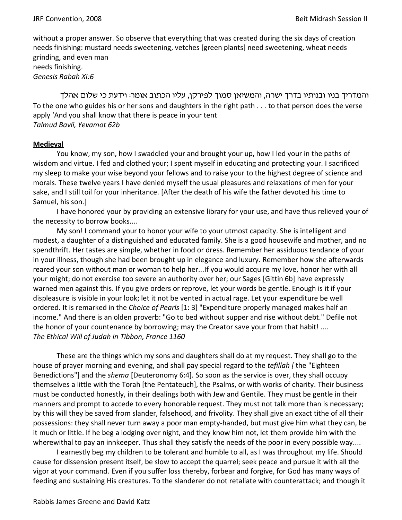without a proper answer. So observe that everything that was created during the six days of creation needs finishing: mustard needs sweetening, vetches [green plants] need sweetening, wheat needs grinding, and even man needs finishing. *Genesis Rabah XI:6*

והמדריך בניו ובנותיו בדרך ישרה, והמשיאן סמוך לפירקן, עליו הכתוב אומר: וידעת כי שלום אהלך To the one who guides his or her sons and daughters in the right path . . . to that person does the verse apply 'And you shall know that there is peace in your tent *Talmud Bavli, Yevamot 62b*

#### **Medieval**

You know, my son, how I swaddled your and brought your up, how I led your in the paths of wisdom and virtue. I fed and clothed your; I spent myself in educating and protecting your. I sacrificed my sleep to make your wise beyond your fellows and to raise your to the highest degree of science and morals. These twelve years I have denied myself the usual pleasures and relaxations of men for your sake, and I still toil for your inheritance. [After the death of his wife the father devoted his time to Samuel, his son.]

I have honored your by providing an extensive library for your use, and have thus relieved your of the necessity to borrow books....

My son! I command your to honor your wife to your utmost capacity. She is intelligent and modest, a daughter of a distinguished and educated family. She is a good housewife and mother, and no spendthrift. Her tastes are simple, whether in food or dress. Remember her assiduous tendance of your in your illness, though she had been brought up in elegance and luxury. Remember how she afterwards reared your son without man or woman to help her...If you would acquire my love, honor her with all your might; do not exercise too severe an authority over her; our Sages [Gittin 6b] have expressly warned men against this. If you give orders or reprove, let your words be gentle. Enough is it if your displeasure is visible in your look; let it not be vented in actual rage. Let your expenditure be well ordered. It is remarked in the *Choice of Pearls* [1: 3] "Expenditure properly managed makes half an income." And there is an olden proverb: "Go to bed without supper and rise without debt." Defile not the honor of your countenance by borrowing; may the Creator save your from that habit! .... *The Ethical Will of Judah in Tibbon, France 1160*

These are the things which my sons and daughters shall do at my request. They shall go to the house of prayer morning and evening, and shall pay special regard to the *tefillah [* the "Eighteen Benedictions"] and the *shema* [Deuteronomy 6:4]. So soon as the service is over, they shall occupy themselves a little with the Torah [the Pentateuch], the Psalms, or with works of charity. Their business must be conducted honestly, in their dealings both with Jew and Gentile. They must be gentle in their manners and prompt to accede to every honorable request. They must not talk more than is necessary; by this will they be saved from slander, falsehood, and frivolity. They shall give an exact tithe of all their possessions: they shall never turn away a poor man empty-handed, but must give him what they can, be it much or little. If he beg a lodging over night, and they know him not, let them provide him with the wherewithal to pay an innkeeper. Thus shall they satisfy the needs of the poor in every possible way....

I earnestly beg my children to be tolerant and humble to all, as I was throughout my life. Should cause for dissension present itself, be slow to accept the quarrel; seek peace and pursue it with all the vigor at your command. Even if you suffer loss thereby, forbear and forgive, for God has many ways of feeding and sustaining His creatures. To the slanderer do not retaliate with counterattack; and though it